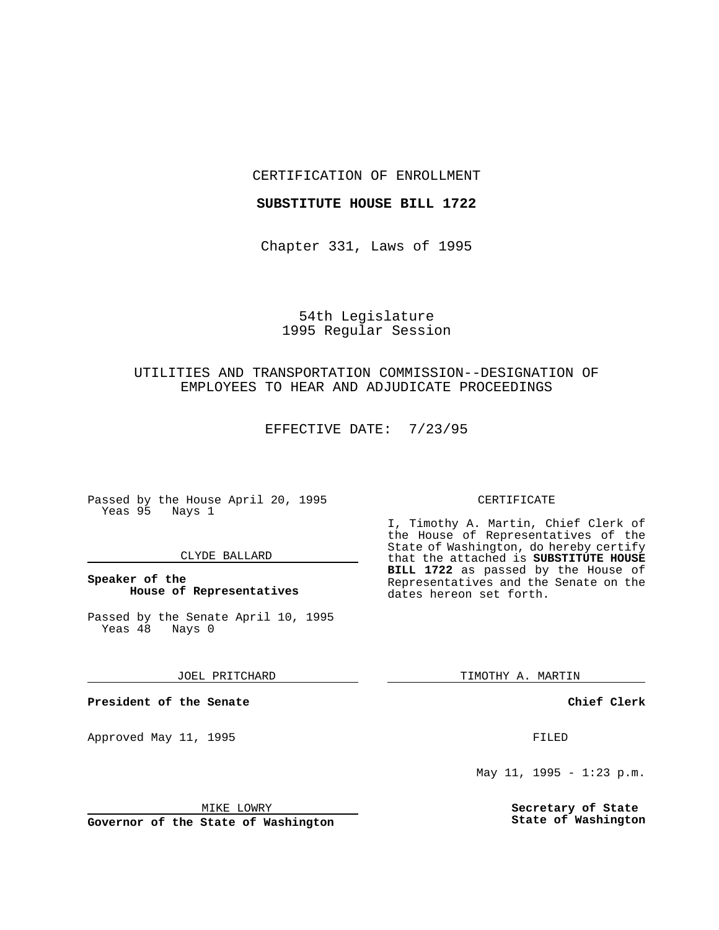CERTIFICATION OF ENROLLMENT

## **SUBSTITUTE HOUSE BILL 1722**

Chapter 331, Laws of 1995

# 54th Legislature 1995 Regular Session

# UTILITIES AND TRANSPORTATION COMMISSION--DESIGNATION OF EMPLOYEES TO HEAR AND ADJUDICATE PROCEEDINGS

EFFECTIVE DATE: 7/23/95

Passed by the House April 20, 1995 Yeas 95 Nays 1

#### CLYDE BALLARD

# **Speaker of the House of Representatives**

Passed by the Senate April 10, 1995<br>Yeas 48 Nays 0 Yeas 48

### JOEL PRITCHARD

**President of the Senate**

Approved May 11, 1995 FILED

#### MIKE LOWRY

**Governor of the State of Washington**

### CERTIFICATE

I, Timothy A. Martin, Chief Clerk of the House of Representatives of the State of Washington, do hereby certify that the attached is **SUBSTITUTE HOUSE BILL 1722** as passed by the House of Representatives and the Senate on the dates hereon set forth.

TIMOTHY A. MARTIN

## **Chief Clerk**

May 11, 1995 - 1:23 p.m.

**Secretary of State State of Washington**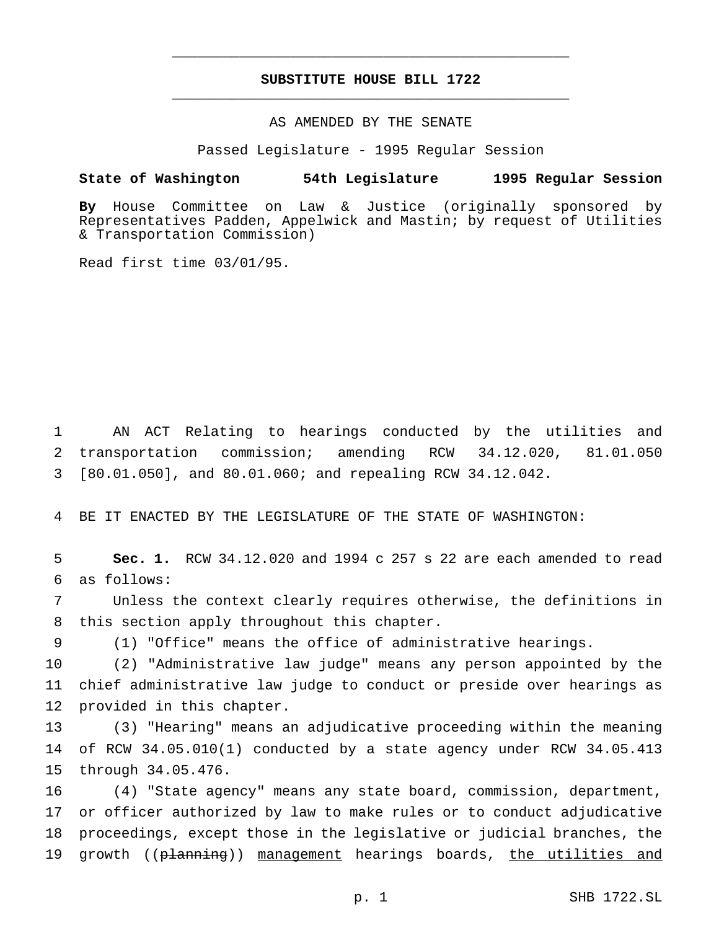# **SUBSTITUTE HOUSE BILL 1722** \_\_\_\_\_\_\_\_\_\_\_\_\_\_\_\_\_\_\_\_\_\_\_\_\_\_\_\_\_\_\_\_\_\_\_\_\_\_\_\_\_\_\_\_\_\_\_

\_\_\_\_\_\_\_\_\_\_\_\_\_\_\_\_\_\_\_\_\_\_\_\_\_\_\_\_\_\_\_\_\_\_\_\_\_\_\_\_\_\_\_\_\_\_\_

# AS AMENDED BY THE SENATE

Passed Legislature - 1995 Regular Session

## **State of Washington 54th Legislature 1995 Regular Session**

**By** House Committee on Law & Justice (originally sponsored by Representatives Padden, Appelwick and Mastin; by request of Utilities & Transportation Commission)

Read first time 03/01/95.

1 AN ACT Relating to hearings conducted by the utilities and 2 transportation commission; amending RCW 34.12.020, 81.01.050 3 [80.01.050], and 80.01.060; and repealing RCW 34.12.042.

4 BE IT ENACTED BY THE LEGISLATURE OF THE STATE OF WASHINGTON:

5 **Sec. 1.** RCW 34.12.020 and 1994 c 257 s 22 are each amended to read 6 as follows:

7 Unless the context clearly requires otherwise, the definitions in 8 this section apply throughout this chapter.

9 (1) "Office" means the office of administrative hearings.

10 (2) "Administrative law judge" means any person appointed by the 11 chief administrative law judge to conduct or preside over hearings as 12 provided in this chapter.

13 (3) "Hearing" means an adjudicative proceeding within the meaning 14 of RCW 34.05.010(1) conducted by a state agency under RCW 34.05.413 15 through 34.05.476.

 (4) "State agency" means any state board, commission, department, or officer authorized by law to make rules or to conduct adjudicative proceedings, except those in the legislative or judicial branches, the 19 growth ((planning)) management hearings boards, the utilities and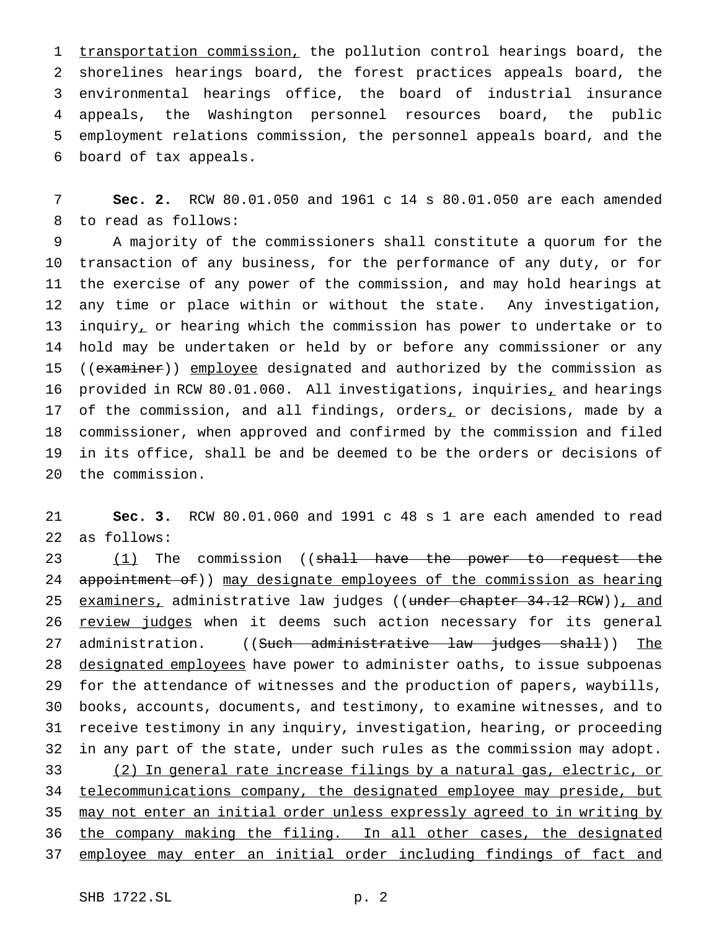1 transportation commission, the pollution control hearings board, the shorelines hearings board, the forest practices appeals board, the environmental hearings office, the board of industrial insurance appeals, the Washington personnel resources board, the public employment relations commission, the personnel appeals board, and the board of tax appeals.

 **Sec. 2.** RCW 80.01.050 and 1961 c 14 s 80.01.050 are each amended to read as follows:

 A majority of the commissioners shall constitute a quorum for the transaction of any business, for the performance of any duty, or for the exercise of any power of the commission, and may hold hearings at any time or place within or without the state. Any investigation, inquiry, or hearing which the commission has power to undertake or to hold may be undertaken or held by or before any commissioner or any 15 ((examiner)) employee designated and authorized by the commission as 16 provided in RCW 80.01.060. All investigations, inquiries, and hearings 17 of the commission, and all findings, orders<sub>1</sub> or decisions, made by a commissioner, when approved and confirmed by the commission and filed in its office, shall be and be deemed to be the orders or decisions of the commission.

 **Sec. 3.** RCW 80.01.060 and 1991 c 48 s 1 are each amended to read as follows:

23 (1) The commission ((shall have the power to request the 24 appointment of)) may designate employees of the commission as hearing 25 examiners, administrative law judges ((under chapter 34.12 RCW)), and 26 review judges when it deems such action necessary for its general 27 administration. ((Such administrative law judges shall)) The 28 designated employees have power to administer oaths, to issue subpoenas for the attendance of witnesses and the production of papers, waybills, books, accounts, documents, and testimony, to examine witnesses, and to receive testimony in any inquiry, investigation, hearing, or proceeding in any part of the state, under such rules as the commission may adopt. (2) In general rate increase filings by a natural gas, electric, or 34 telecommunications company, the designated employee may preside, but may not enter an initial order unless expressly agreed to in writing by 36 the company making the filing. In all other cases, the designated 37 employee may enter an initial order including findings of fact and